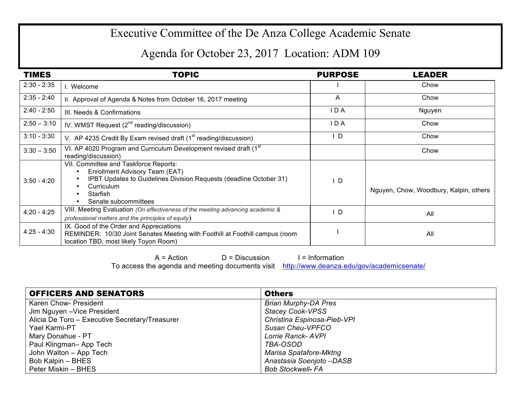## Executive Committee of the De Anza College Academic Senate

## Agenda for October 23, 2017 Location: ADM 109

| <b>TIMES</b>  | <b>TOPIC</b>                                                                                                                                                                                    | <b>PURPOSE</b> | LEADER                                 |
|---------------|-------------------------------------------------------------------------------------------------------------------------------------------------------------------------------------------------|----------------|----------------------------------------|
| $2:30 - 2:35$ | I. Welcome                                                                                                                                                                                      |                | Chow                                   |
| $2:35 - 2:40$ | II. Approval of Agenda & Notes from October 16, 2017 meeting                                                                                                                                    | $\mathsf{A}$   | Chow                                   |
| $2:40 - 2:50$ | III. Needs & Confirmations                                                                                                                                                                      | IDA            | Nguyen                                 |
| $2:50 - 3:10$ | IV. WMST Request $(2^{nd}$ reading/discussion)                                                                                                                                                  | IDA            | Chow                                   |
| $3:10 - 3:30$ | V. AP 4235 Credit By Exam revised draft (1 <sup>st</sup> reading/discussion)                                                                                                                    | D              | Chow                                   |
| $3:30 - 3:50$ | VI. AP 4020 Program and Curriculum Development revised draft (1st<br>reading/discussion)                                                                                                        |                | Chow                                   |
| $3:50 - 4:20$ | VII. Committee and Taskforce Reports:<br>Enrollment Advisory Team (EAT)<br>IPBT Updates to Guidelines Division Requests (deadline October 31)<br>Curriculum<br>Starfish<br>Senate subcommittees | ID.            | Nguyen, Chow, Woodbury, Kalpin, others |
| $4:20 - 4:25$ | VIII. Meeting Evaluation (On effectiveness of the meeting advancing academic &<br>professional matters and the principles of equity)                                                            | D              | All                                    |
| $4:25 - 4:30$ | IX. Good of the Order and Appreciations<br>REMINDER: 10/30 Joint Senates Meeting with Foothill at Foothill campus (room<br>location TBD, most likely Toyon Room)                                |                | All                                    |

 $A = Action$   $D = Discussion$  I = Information

To access the agenda and meeting documents visit http://www.deanza.edu/gov/academicsenate/

| <b>OFFICERS AND SENATORS</b>                   | <b>Others</b>               |
|------------------------------------------------|-----------------------------|
| Karen Chow- President                          | <b>Brian Murphy-DA Pres</b> |
| Jim Nguyen - Vice President                    | <b>Stacey Cook-VPSS</b>     |
| Alicia De Toro - Executive Secretary/Treasurer | Christina Espinosa-Pieb-VPI |
| Yael Karmi-PT                                  | Susan Cheu-VPFCO            |
| Mary Donahue - PT                              | Lorrie Ranck- AVPI          |
| Paul Klingman-App Tech                         | TBA-OSOD                    |
| John Walton - App Tech                         | Marisa Spatafore-Mktng      |
| Bob Kalpin - BHES                              | Anastasia Soenjoto -DASB    |
| Peter Miskin - BHES                            | <b>Bob Stockwell- FA</b>    |